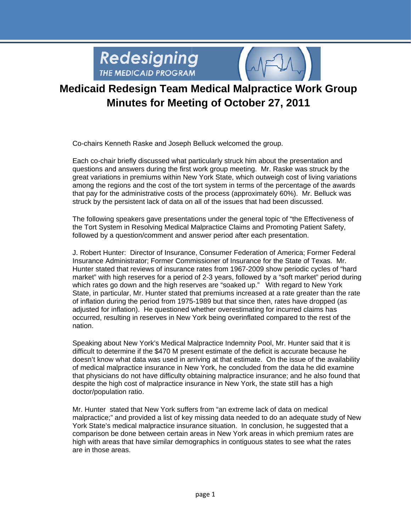

### **Medicaid Redesign Team Medical Malpractice Work Group Minutes for Meeting of October 27, 2011**

Co-chairs Kenneth Raske and Joseph Belluck welcomed the group.

Each co-chair briefly discussed what particularly struck him about the presentation and questions and answers during the first work group meeting. Mr. Raske was struck by the great variations in premiums within New York State, which outweigh cost of living variations among the regions and the cost of the tort system in terms of the percentage of the awards that pay for the administrative costs of the process (approximately 60%). Mr. Belluck was struck by the persistent lack of data on all of the issues that had been discussed.

The following speakers gave presentations under the general topic of "the Effectiveness of the Tort System in Resolving Medical Malpractice Claims and Promoting Patient Safety, followed by a question/comment and answer period after each presentation.

J. Robert Hunter: Director of Insurance, Consumer Federation of America; Former Federal Insurance Administrator: Former Commissioner of Insurance for the State of Texas. Mr. Hunter stated that reviews of insurance rates from 1967-2009 show periodic cycles of "hard market" with high reserves for a period of 2-3 years, followed by a "soft market" period during which rates go down and the high reserves are "soaked up." With regard to New York State, in particular, Mr. Hunter stated that premiums increased at a rate greater than the rate of inflation during the period from 1975-1989 but that since then, rates have dropped (as adjusted for inflation). He questioned whether overestimating for incurred claims has occurred, resulting in reserves in New York being overinflated compared to the rest of the nation.

Speaking about New York's Medical Malpractice Indemnity Pool, Mr. Hunter said that it is difficult to determine if the \$470 M present estimate of the deficit is accurate because he doesn't know what data was used in arriving at that estimate. On the issue of the availability of medical malpractice insurance in New York, he concluded from the data he did examine that physicians do not have difficulty obtaining malpractice insurance; and he also found that despite the high cost of malpractice insurance in New York, the state still has a high doctor/population ratio.

Mr. Hunter stated that New York suffers from "an extreme lack of data on medical malpractice;" and provided a list of key missing data needed to do an adequate study of New York State's medical malpractice insurance situation. In conclusion, he suggested that a comparison be done between certain areas in New York areas in which premium rates are high with areas that have similar demographics in contiguous states to see what the rates are in those areas.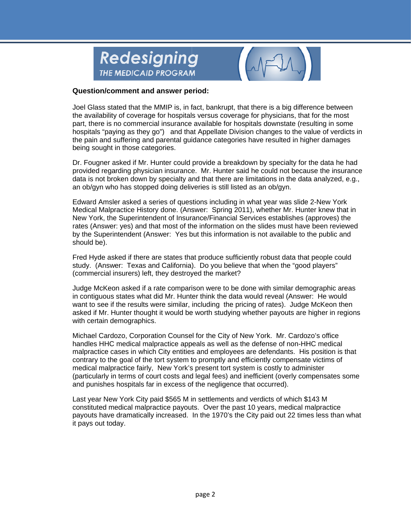



Joel Glass stated that the MMIP is, in fact, bankrupt, that there is a big difference between the availability of coverage for hospitals versus coverage for physicians, that for the most part, there is no commercial insurance available for hospitals downstate (resulting in some hospitals "paying as they go") and that Appellate Division changes to the value of verdicts in the pain and suffering and parental guidance categories have resulted in higher damages being sought in those categories.

Dr. Fougner asked if Mr. Hunter could provide a breakdown by specialty for the data he had provided regarding physician insurance. Mr. Hunter said he could not because the insurance data is not broken down by specialty and that there are limitations in the data analyzed, e.g., an ob/gyn who has stopped doing deliveries is still listed as an ob/gyn.

Edward Amsler asked a series of questions including in what year was slide 2-New York Medical Malpractice History done. (Answer: Spring 2011), whether Mr. Hunter knew that in New York, the Superintendent of Insurance/Financial Services establishes (approves) the rates (Answer: yes) and that most of the information on the slides must have been reviewed by the Superintendent (Answer: Yes but this information is not available to the public and should be).

Fred Hyde asked if there are states that produce sufficiently robust data that people could study. (Answer: Texas and California). Do you believe that when the "good players" (commercial insurers) left, they destroyed the market?

Judge McKeon asked if a rate comparison were to be done with similar demographic areas in contiguous states what did Mr. Hunter think the data would reveal (Answer: He would want to see if the results were similar, including the pricing of rates). Judge McKeon then asked if Mr. Hunter thought it would be worth studying whether payouts are higher in regions with certain demographics.

Michael Cardozo, Corporation Counsel for the City of New York. Mr. Cardozo's office handles HHC medical malpractice appeals as well as the defense of non-HHC medical malpractice cases in which City entities and employees are defendants. His position is that contrary to the goal of the tort system to promptly and efficiently compensate victims of medical malpractice fairly. New York's present tort system is costly to administer (particularly in terms of court costs and legal fees) and inefficient (overly compensates some and punishes hospitals far in excess of the negligence that occurred).

Last year New York City paid \$565 M in settlements and verdicts of which \$143 M constituted medical malpractice payouts. Over the past 10 years, medical malpractice payouts have dramatically increased. In the 1970's the City paid out 22 times less than what it pays out today.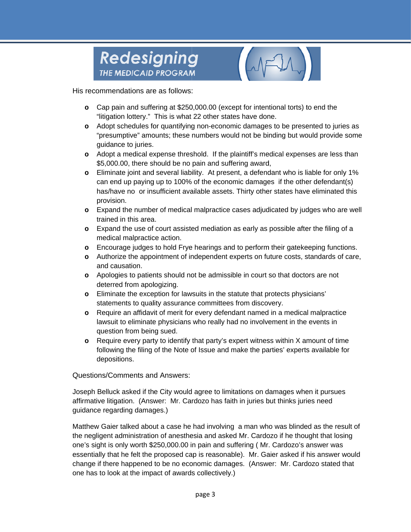

His recommendations are as follows:

- o Cap pain and suffering at \$250,000.00 (except for intentional torts) to end the "litigation lottery." This is what 22 other states have done.
- o Adopt schedules for quantifying non-economic damages to be presented to juries as "presumptive" amounts; these numbers would not be binding but would provide some guidance to juries.
- o Adopt a medical expense threshold. If the plaintiff's medical expenses are less than \$5,000.00, there should be no pain and suffering award,
- o Eliminate joint and several liability. At present, a defendant who is liable for only 1% can end up paying up to 100% of the economic damages if the other defendant(s) has/have no or insufficient available assets. Thirty other states have eliminated this provision.
- o Expand the number of medical malpractice cases adjudicated by judges who are well trained in this area.
- o Expand the use of court assisted mediation as early as possible after the filing of a medical malpractice action.
- o Encourage judges to hold Frye hearings and to perform their gatekeeping functions.
- o Authorize the appointment of independent experts on future costs, standards of care, and causation.
- o Apologies to patients should not be admissible in court so that doctors are not deterred from apologizing.
- o Eliminate the exception for lawsuits in the statute that protects physicians' statements to quality assurance committees from discovery.
- Require an affidavit of merit for every defendant named in a medical malpractice  $\circ$ lawsuit to eliminate physicians who really had no involvement in the events in question from being sued.
- Require every party to identify that party's expert witness within X amount of time  $\circ$ following the filing of the Note of Issue and make the parties' experts available for depositions.

Questions/Comments and Answers:

Joseph Belluck asked if the City would agree to limitations on damages when it pursues affirmative litigation. (Answer: Mr. Cardozo has faith in juries but thinks juries need guidance regarding damages.)

Matthew Gaier talked about a case he had involving a man who was blinded as the result of the negligent administration of anesthesia and asked Mr. Cardozo if he thought that losing one's sight is only worth \$250,000.00 in pain and suffering (Mr. Cardozo's answer was essentially that he felt the proposed cap is reasonable). Mr. Gaier asked if his answer would change if there happened to be no economic damages. (Answer: Mr. Cardozo stated that one has to look at the impact of awards collectively.)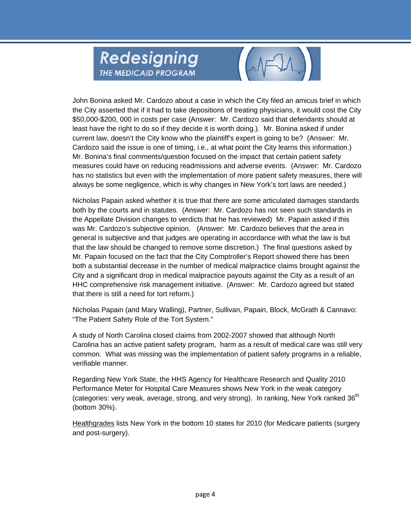

John Bonina asked Mr. Cardozo about a case in which the City filed an amicus brief in which the City asserted that if it had to take depositions of treating physicians, it would cost the City \$50,000-\$200, 000 in costs per case (Answer: Mr. Cardozo said that defendants should at least have the right to do so if they decide it is worth doing.). Mr. Bonina asked if under current law, doesn't the City know who the plaintiff's expert is going to be? (Answer: Mr. Cardozo said the issue is one of timing, i.e., at what point the City learns this information.) Mr. Bonina's final comments/question focused on the impact that certain patient safety measures could have on reducing readmissions and adverse events. (Answer: Mr. Cardozo has no statistics but even with the implementation of more patient safety measures, there will always be some negligence, which is why changes in New York's tort laws are needed.)

Nicholas Papain asked whether it is true that there are some articulated damages standards both by the courts and in statutes. (Answer: Mr. Cardozo has not seen such standards in the Appellate Division changes to verdicts that he has reviewed) Mr. Papain asked if this was Mr. Cardozo's subjective opinion. (Answer: Mr. Cardozo believes that the area in general is subjective and that judges are operating in accordance with what the law is but that the law should be changed to remove some discretion.) The final questions asked by Mr. Papain focused on the fact that the City Comptroller's Report showed there has been both a substantial decrease in the number of medical malpractice claims brought against the City and a significant drop in medical malpractice payouts against the City as a result of an HHC comprehensive risk management initiative. (Answer: Mr. Cardozo agreed but stated that there is still a need for tort reform.)

Nicholas Papain (and Mary Walling), Partner, Sullivan, Papain, Block, McGrath & Cannavo: "The Patient Safety Role of the Tort System."

A study of North Carolina closed claims from 2002-2007 showed that although North Carolina has an active patient safety program, harm as a result of medical care was still very common. What was missing was the implementation of patient safety programs in a reliable, verifiable manner.

Regarding New York State, the HHS Agency for Healthcare Research and Quality 2010 Performance Meter for Hospital Care Measures shows New York in the weak category (categories: very weak, average, strong, and very strong). In ranking, New York ranked 36<sup>th</sup> (bottom 30%).

Healthgrades lists New York in the bottom 10 states for 2010 (for Medicare patients (surgery and post-surgery).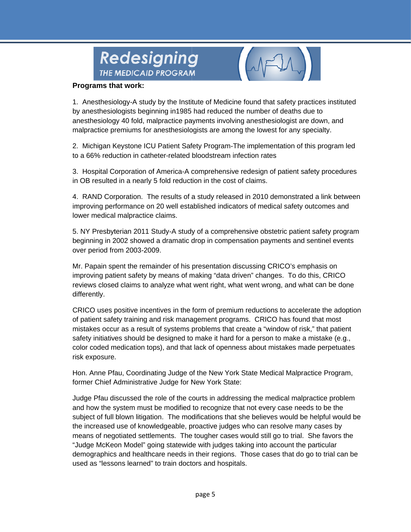



#### Programs that work:

1. Anesthesiology-A study by the Institute of Medicine found that safety practices instituted by anesthesiologists beginning in 1985 had reduced the number of deaths due to anesthesiology 40 fold, malpractice payments involving anesthesiologist are down, and malpractice premiums for anesthesiologists are among the lowest for any specialty.

2. Michigan Keystone ICU Patient Safety Program-The implementation of this program led to a 66% reduction in catheter-related bloodstream infection rates

3. Hospital Corporation of America-A comprehensive redesign of patient safety procedures in OB resulted in a nearly 5 fold reduction in the cost of claims.

4. RAND Corporation. The results of a study released in 2010 demonstrated a link between improving performance on 20 well established indicators of medical safety outcomes and lower medical malpractice claims.

5. NY Presbyterian 2011 Study-A study of a comprehensive obstetric patient safety program beginning in 2002 showed a dramatic drop in compensation payments and sentinel events over period from 2003-2009.

Mr. Papain spent the remainder of his presentation discussing CRICO's emphasis on improving patient safety by means of making "data driven" changes. To do this, CRICO reviews closed claims to analyze what went right, what went wrong, and what can be done differently.

CRICO uses positive incentives in the form of premium reductions to accelerate the adoption of patient safety training and risk management programs. CRICO has found that most mistakes occur as a result of systems problems that create a "window of risk," that patient safety initiatives should be designed to make it hard for a person to make a mistake (e.g., color coded medication tops), and that lack of openness about mistakes made perpetuates risk exposure.

Hon. Anne Pfau, Coordinating Judge of the New York State Medical Malpractice Program, former Chief Administrative Judge for New York State:

Judge Pfau discussed the role of the courts in addressing the medical malpractice problem and how the system must be modified to recognize that not every case needs to be the subject of full blown litigation. The modifications that she believes would be helpful would be the increased use of knowledgeable, proactive judges who can resolve many cases by means of negotiated settlements. The tougher cases would still go to trial. She favors the "Judge McKeon Model" going statewide with judges taking into account the particular demographics and healthcare needs in their regions. Those cases that do go to trial can be used as "lessons learned" to train doctors and hospitals.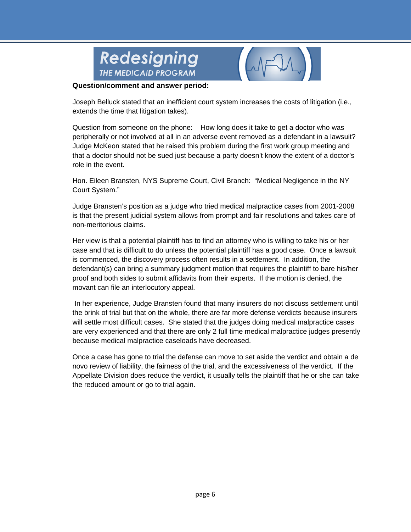



Joseph Belluck stated that an inefficient court system increases the costs of litigation (i.e., extends the time that litigation takes).

Question from someone on the phone: How long does it take to get a doctor who was peripherally or not involved at all in an adverse event removed as a defendant in a lawsuit? Judge McKeon stated that he raised this problem during the first work group meeting and that a doctor should not be sued just because a party doesn't know the extent of a doctor's role in the event.

Hon. Eileen Bransten, NYS Supreme Court, Civil Branch: "Medical Negligence in the NY Court System."

Judge Bransten's position as a judge who tried medical malpractice cases from 2001-2008 is that the present judicial system allows from prompt and fair resolutions and takes care of non-meritorious claims.

Her view is that a potential plaintiff has to find an attorney who is willing to take his or her case and that is difficult to do unless the potential plaintiff has a good case. Once a lawsuit is commenced, the discovery process often results in a settlement. In addition, the defendant(s) can bring a summary judgment motion that requires the plaintiff to bare his/her proof and both sides to submit affidavits from their experts. If the motion is denied, the movant can file an interlocutory appeal.

In her experience, Judge Bransten found that many insurers do not discuss settlement until the brink of trial but that on the whole, there are far more defense verdicts because insurers will settle most difficult cases. She stated that the judges doing medical malpractice cases are very experienced and that there are only 2 full time medical malpractice judges presently because medical malpractice caseloads have decreased.

Once a case has gone to trial the defense can move to set aside the verdict and obtain a de novo review of liability, the fairness of the trial, and the excessiveness of the verdict. If the Appellate Division does reduce the verdict, it usually tells the plaintiff that he or she can take the reduced amount or go to trial again.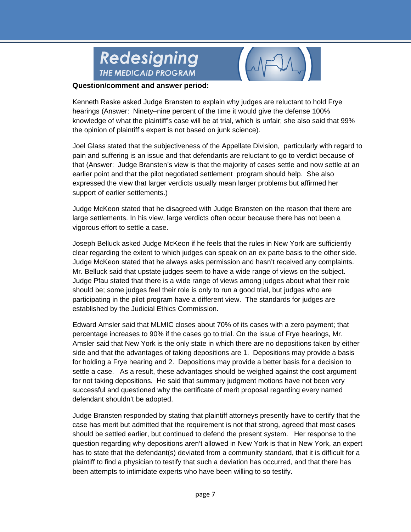



Kenneth Raske asked Judge Bransten to explain why judges are reluctant to hold Frye hearings (Answer: Ninety-nine percent of the time it would give the defense 100% knowledge of what the plaintiff's case will be at trial, which is unfair; she also said that 99% the opinion of plaintiff's expert is not based on junk science).

Joel Glass stated that the subjectiveness of the Appellate Division, particularly with regard to pain and suffering is an issue and that defendants are reluctant to go to verdict because of that (Answer: Judge Bransten's view is that the maiority of cases settle and now settle at an earlier point and that the pilot negotiated settlement program should help. She also expressed the view that larger verdicts usually mean larger problems but affirmed her support of earlier settlements.)

Judge McKeon stated that he disagreed with Judge Bransten on the reason that there are large settlements. In his view, large verdicts often occur because there has not been a vigorous effort to settle a case.

Joseph Belluck asked Judge McKeon if he feels that the rules in New York are sufficiently clear regarding the extent to which judges can speak on an ex parte basis to the other side. Judge McKeon stated that he always asks permission and hasn't received any complaints. Mr. Belluck said that upstate judges seem to have a wide range of views on the subject. Judge Pfau stated that there is a wide range of views among judges about what their role should be; some judges feel their role is only to run a good trial, but judges who are participating in the pilot program have a different view. The standards for judges are established by the Judicial Ethics Commission.

Edward Amsler said that MLMIC closes about 70% of its cases with a zero payment; that percentage increases to 90% if the cases go to trial. On the issue of Frye hearings, Mr. Amsler said that New York is the only state in which there are no depositions taken by either side and that the advantages of taking depositions are 1. Depositions may provide a basis for holding a Frye hearing and 2. Depositions may provide a better basis for a decision to settle a case. As a result, these advantages should be weighed against the cost argument for not taking depositions. He said that summary judgment motions have not been very successful and questioned why the certificate of merit proposal regarding every named defendant shouldn't be adopted.

Judge Bransten responded by stating that plaintiff attorneys presently have to certify that the case has merit but admitted that the requirement is not that strong, agreed that most cases should be settled earlier, but continued to defend the present system. Her response to the question regarding why depositions aren't allowed in New York is that in New York, an expert has to state that the defendant(s) deviated from a community standard, that it is difficult for a plaintiff to find a physician to testify that such a deviation has occurred, and that there has been attempts to intimidate experts who have been willing to so testify.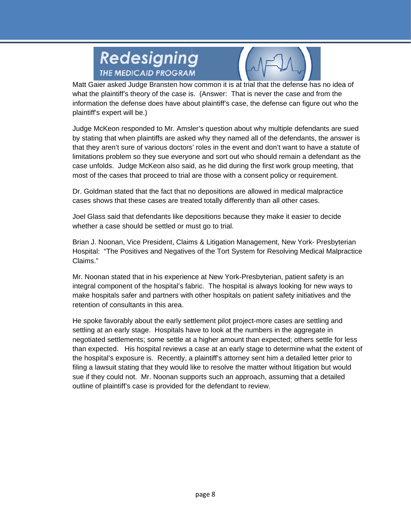



Matt Gaier asked Judge Bransten how common it is at trial that the defense has no idea of what the plaintiff's theory of the case is. (Answer: That is never the case and from the information the defense does have about plaintiff's case, the defense can figure out who the plaintiff's expert will be.)

Judge McKeon responded to Mr. Amsler's question about why multiple defendants are sued by stating that when plaintiffs are asked why they named all of the defendants, the answer is that they aren't sure of various doctors' roles in the event and don't want to have a statute of limitations problem so they sue everyone and sort out who should remain a defendant as the case unfolds. Judge McKeon also said, as he did during the first work group meeting, that most of the cases that proceed to trial are those with a consent policy or requirement.

Dr. Goldman stated that the fact that no depositions are allowed in medical malpractice cases shows that these cases are treated totally differently than all other cases.

Joel Glass said that defendants like depositions because they make it easier to decide whether a case should be settled or must go to trial.

Brian J. Noonan, Vice President, Claims & Litigation Management, New York- Presbyterian Hospital: "The Positives and Negatives of the Tort System for Resolving Medical Malpractice C Claims."

Mr. Noonan stated that in his experience at New York-Presbyterian, patient safety is an integral component of the hospital's fabric. The hospital is always looking for new ways to make hospitals safer and partners with other hospitals on patient safety initiatives and the retention of consultants in this area.

He spoke favorably about the early settlement pilot project-more cases are settling and settling at an early stage. Hospitals have to look at the numbers in the aggregate in negotiated settlements; some settle at a higher amount than expected; others settle for less than expected. His hospital reviews a case at an early stage to determine what the extent of the hospital's exposure is. Recently, a plaintiff's attorney sent him a detailed letter prior to filing a lawsuit stating that they would like to resolve the matter without litigation but would sue if they could not. Mr. Noonan supports such an approach, assuming that a detailed outline of plaintiff's case is provided for the defendant to review.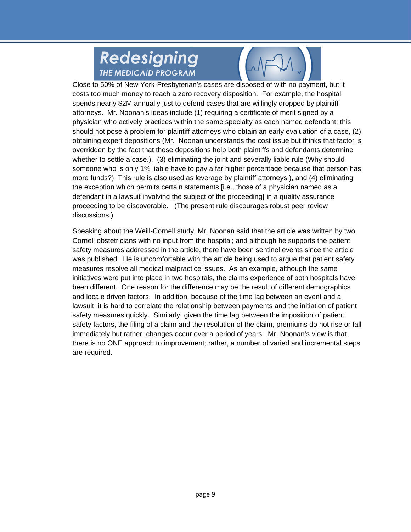

Close to 50% of New York-Presbyterian's cases are disposed of with no payment, but it costs too much money to reach a zero recovery disposition. For example, the hospital spends nearly \$2M annually just to defend cases that are willingly dropped by plaintiff attorneys. Mr. Noonan's ideas include (1) requiring a certificate of merit signed by a physician who actively practices within the same specialty as each named defendant; this should not pose a problem for plaintiff attorneys who obtain an early evaluation of a case, (2) obtaining expert depositions (Mr. Noonan understands the cost issue but thinks that factor is overridden by the fact that these depositions help both plaintiffs and defendants determine whether to settle a case.), (3) eliminating the joint and severally liable rule (Why should someone who is only 1% liable have to pay a far higher percentage because that person has more funds?) This rule is also used as leverage by plaintiff attorneys.), and (4) eliminating the exception which permits certain statements [i.e., those of a physician named as a defendant in a lawsuit involving the subject of the proceeding] in a quality assurance proceeding to be discoverable. (The present rule discourages robust peer review discussions.)

Speaking about the Weill-Cornell study, Mr. Noonan said that the article was written by two Cornell obstetricians with no input from the hospital; and although he supports the patient safety measures addressed in the article, there have been sentinel events since the article was published. He is uncomfortable with the article being used to argue that patient safety measures resolve all medical malpractice issues. As an example, although the same initiatives were put into place in two hospitals, the claims experience of both hospitals have been different. One reason for the difference may be the result of different demographics and locale driven factors. In addition, because of the time lag between an event and a lawsuit, it is hard to correlate the relationship between payments and the initiation of patient safety measures quickly. Similarly, given the time lag between the imposition of patient safety factors, the filing of a claim and the resolution of the claim, premiums do not rise or fall immediately but rather, changes occur over a period of years. Mr. Noonan's view is that there is no ONE approach to improvement; rather, a number of varied and incremental steps are required.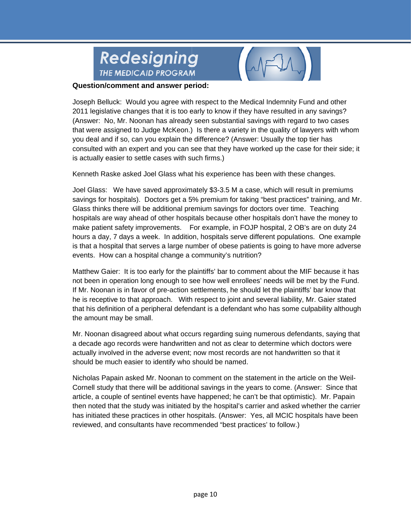



Joseph Belluck: Would you agree with respect to the Medical Indemnity Fund and other 2011 legislative changes that it is too early to know if they have resulted in any savings? (Answer: No, Mr. Noonan has already seen substantial savings with regard to two cases that were assigned to Judge McKeon.) Is there a variety in the quality of lawyers with whom you deal and if so, can you explain the difference? (Answer: Usually the top tier has consulted with an expert and you can see that they have worked up the case for their side; it is actually easier to settle cases with such firms.)

Kenneth Raske asked Joel Glass what his experience has been with these changes.

Joel Glass: We have saved approximately \$3-3.5 M a case, which will result in premiums savings for hospitals). Doctors get a 5% premium for taking "best practices" training, and Mr. Glass thinks there will be additional premium savings for doctors over time. Teaching hospitals are way ahead of other hospitals because other hospitals don't have the money to make patient safety improvements. For example, in FOJP hospital, 2 OB's are on duty 24 hours a day, 7 days a week. In addition, hospitals serve different populations. One example is that a hospital that serves a large number of obese patients is going to have more adverse events. How can a hospital change a community's nutrition?

Matthew Gaier: It is too early for the plaintiffs' bar to comment about the MIF because it has not been in operation long enough to see how well enrollees' needs will be met by the Fund. If Mr. Noonan is in favor of pre-action settlements, he should let the plaintiffs' bar know that he is receptive to that approach. With respect to joint and several liability, Mr. Gaier stated that his definition of a peripheral defendant is a defendant who has some culpability although the amount may be small.

Mr. Noonan disagreed about what occurs regarding suing numerous defendants, saying that a decade ago records were handwritten and not as clear to determine which doctors were actually involved in the adverse event; now most records are not handwritten so that it should be much easier to identify who should be named.

Nicholas Papain asked Mr. Noonan to comment on the statement in the article on the Weil-Cornell study that there will be additional savings in the years to come. (Answer: Since that article, a couple of sentinel events have happened; he can't be that optimistic). Mr. Papain then noted that the study was initiated by the hospital's carrier and asked whether the carrier has initiated these practices in other hospitals. (Answer: Yes, all MCIC hospitals have been reviewed, and consultants have recommended "best practices' to follow.)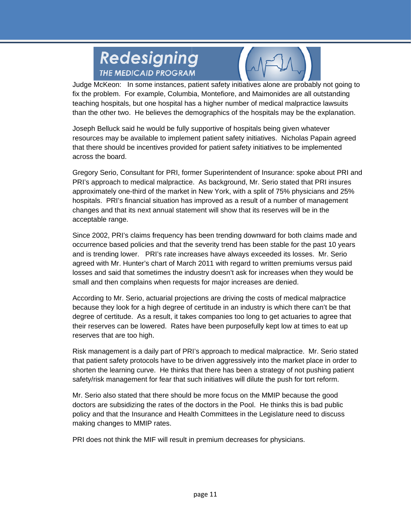

Judge McKeon: In some instances, patient safety initiatives alone are probably not going to fix the problem. For example, Columbia, Montefiore, and Maimonides are all outstanding teaching hospitals, but one hospital has a higher number of medical malpractice lawsuits teaching hospitals, but one hospital has a higher number of medical malpractice lawsuits<br>than the other two. He believes the demographics of the hospitals may be the explanation.

Joseph Belluck said he would be fully supportive of hospitals being given whatever resources may be available to implement patient safety initiatives. Nicholas Papain agreed that there should be incentives provided for patient safety initiatives to be implemented ac cross the boa ard.

Gregory Serio, Consultant for PRI, former Superintendent of Insurance: spoke about PRI and PRI's approach to medical malpractice. As background, Mr. Serio stated that PRI insures approximately one-third of the market in New York, with a split of 75% physicians and 25% hospitals. PRI's financial situation has improved as a result of a number of management changes and that its next annual statement will show that its reserves will be in the ac cceptable ra nge.

Since 2002, PRI's claims frequency has been trending downward for both claims made and occurrence based policies and that the severity trend has been stable for the past 10 years and is trending lower. PRI's rate increases have always exceeded its losses. Mr. Serio and is trending lower. PRI's rate increases have always exceeded its losses. Mr. Serio<br>agreed with Mr. Hunter's chart of March 2011 with regard to written premiums versus paid losses and said that sometimes the industry doesn't ask for increases when they would be small and then complains when requests for major increases are denied.

According to Mr. Serio, actuarial projections are driving the costs of medical malpractice According to Mr. Serio, actuarial projections are driving the costs of medical malpractice<br>because they look for a high degree of certitude in an industry is which there can't be that degree of certitude. As a result, it takes companies too long to get actuaries to agree that their reserves can be lowered. Rates have been purposefully kept low at times to eat up reserves that are too high. their reserves can be lowered. Rates have been purposefully kept low at times to eat up<br>reserves that are too high.<br>Risk management is a daily part of PRI's approach to medical malpractice. Mr. Serio stated

that patient safety protocols have to be driven aggressively into the market place in order to shorten the learning curve. He thinks that there has been a strategy of not pushing patient safety/risk management for fear that such initiatives will dilute the push for tort reform.

Mr. Serio also stated that there should be more focus on the MMIP because the good doctors are subsidizing the rates of the doctors in the Pool. He thinks this is bad public policy and that the Insurance and Health Committees in the Legislature need to discuss making changes to MMIP rates.

PRI does not think the MIF will result in premium decreases for physicians.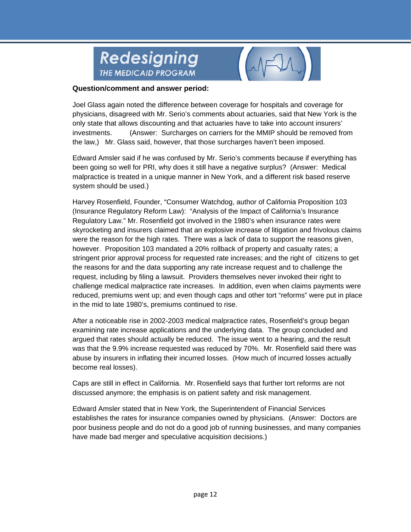



Joel Glass again noted the difference between coverage for hospitals and coverage for physicians, disagreed with Mr. Serio's comments about actuaries, said that New York is the only state that allows discounting and that actuaries have to take into account insurers' investments. (Answer: Surcharges on carriers for the MMIP should be removed from the law,) Mr. Glass said, however, that those surcharges haven't been imposed.

Edward Amsler said if he was confused by Mr. Serio's comments because if everything has been going so well for PRI, why does it still have a negative surplus? (Answer: Medical malpractice is treated in a unique manner in New York, and a different risk based reserve system should be used.)

Harvey Rosenfield, Founder, "Consumer Watchdog, author of California Proposition 103 (Insurance Regulatory Reform Law): "Analysis of the Impact of California's Insurance Regulatory Law." Mr. Rosenfield got involved in the 1980's when insurance rates were skyrocketing and insurers claimed that an explosive increase of litigation and frivolous claims were the reason for the high rates. There was a lack of data to support the reasons given, however. Proposition 103 mandated a 20% rollback of property and casualty rates; a stringent prior approval process for requested rate increases; and the right of citizens to get the reasons for and the data supporting any rate increase request and to challenge the request, including by filing a lawsuit. Providers themselves never invoked their right to challenge medical malpractice rate increases. In addition, even when claims payments were reduced, premiums went up; and even though caps and other tort "reforms" were put in place in the mid to late 1980's, premiums continued to rise.

After a noticeable rise in 2002-2003 medical malpractice rates, Rosenfield's group began examining rate increase applications and the underlying data. The group concluded and argued that rates should actually be reduced. The issue went to a hearing, and the result was that the 9.9% increase requested was reduced by 70%. Mr. Rosenfield said there was abuse by insurers in inflating their incurred losses. (How much of incurred losses actually become real losses).

Caps are still in effect in California. Mr. Rosenfield says that further tort reforms are not discussed anymore; the emphasis is on patient safety and risk management.

Edward Amsler stated that in New York, the Superintendent of Financial Services establishes the rates for insurance companies owned by physicians. (Answer: Doctors are poor business people and do not do a good job of running businesses, and many companies have made bad merger and speculative acquisition decisions.)